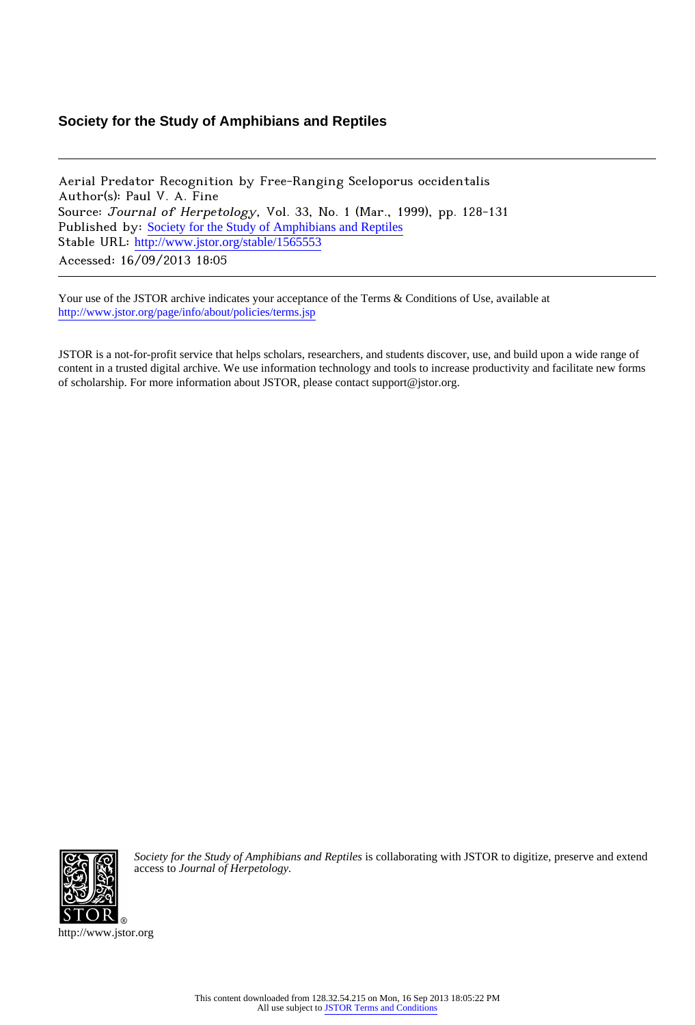# **Society for the Study of Amphibians and Reptiles**

Aerial Predator Recognition by Free-Ranging Sceloporus occidentalis Author(s): Paul V. A. Fine Source: Journal of Herpetology, Vol. 33, No. 1 (Mar., 1999), pp. 128-131 Published by: [Society for the Study of Amphibians and Reptiles](http://www.jstor.org/action/showPublisher?publisherCode=ssar) Stable URL: [http://www.jstor.org/stable/1565553](http://www.jstor.org/stable/1565553?origin=JSTOR-pdf) Accessed: 16/09/2013 18:05

Your use of the JSTOR archive indicates your acceptance of the Terms & Conditions of Use, available at <http://www.jstor.org/page/info/about/policies/terms.jsp>

JSTOR is a not-for-profit service that helps scholars, researchers, and students discover, use, and build upon a wide range of content in a trusted digital archive. We use information technology and tools to increase productivity and facilitate new forms of scholarship. For more information about JSTOR, please contact support@jstor.org.



*Society for the Study of Amphibians and Reptiles* is collaborating with JSTOR to digitize, preserve and extend access to *Journal of Herpetology.*

http://www.jstor.org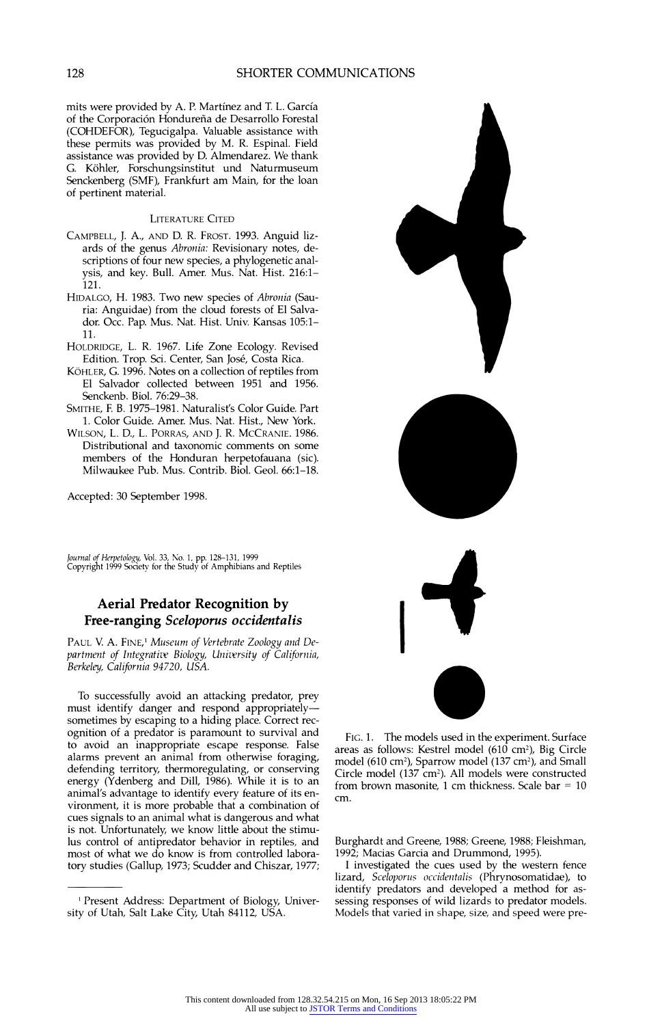**mits were provided by A. P. Martinez and T. L. Garcia of the Corporaci6n Hondurefia de Desarrollo Forestal (COHDEFOR), Tegucigalpa. Valuable assistance with these permits was provided by M. R. Espinal. Field assistance was provided by D. Almendarez. We thank G. K6hler, Forschungsinstitut und Naturmuseum Senckenberg (SMF), Frankfurt am Main, for the loan of pertinent material.** 

#### **LITERATURE CITED**

- **CAMPBELL, J. A., AND D. R. FROST. 1993. Anguid lizards of the genus Abronia: Revisionary notes, descriptions of four new species, a phylogenetic analysis, and key. Bull. Amer. Mus. Nat. Hist. 216:1- 121.**
- **HIDALGO, H. 1983. Two new species of Abronia (Sauria: Anguidae) from the cloud forests of El Salvador. Occ. Pap. Mus. Nat. Hist. Univ. Kansas 105:1- 11.**
- **HOLDRIDGE, L. R. 1967. Life Zone Ecology. Revised Edition. Trop. Sci. Center, San Jose, Costa Rica.**
- **KOHLER, G. 1996. Notes on a collection of reptiles from El Salvador collected between 1951 and 1956. Senckenb. Biol. 76:29-38.**
- **SMITHE, E B. 1975-1981. Naturalist's Color Guide. Part 1. Color Guide. Amer. Mus. Nat. Hist., New York.**
- **WILSON, L. D., L. PORRAS, AND J. R. MCCRANIE. 1986. Distributional and taxonomic comments on some members of the Honduran herpetofauana (sic). Milwaukee Pub. Mus. Contrib. Biol. Geol. 66:1-18.**

**Accepted: 30 September 1998.** 

**Journal of Herpetology, Vol. 33, No. 1, pp. 128-131, 1999 Copyright 1999 Society for the Study of Amphibians and Reptiles** 

### **Aerial Predator Recognition by Free-ranging Sceloporus occidentalis**

**PAUL V. A. FINE,' Museum of Vertebrate Zoology and Department of Integratizv Biology, Unizvrsity of California, Berkeley, California 94720, USA.** 

**To successfully avoid an attacking predator, prey must identify danger and respond appropriatelysometimes by escaping to a hiding place. Correct recognition of a predator is paramount to survival and to avoid an inappropriate escape response. False alarms prevent an animal from otherwise foraging, defending territory, thermoregulating, or conserving energy (Ydenberg and Dill, 1986). While it is to an animal's advantage to identify every feature of its environment, it is more probable that a combination of cues signals to an animal what is dangerous and what is not. Unfortunately, we know little about the stimulus control of antipredator behavior in reptiles, and most of what we do know is from controlled laboratory studies (Gallup, 1973; Scudder and Chiszar, 1977;** 



**FIG. 1. The models used in the experiment. Surface areas as follows: Kestrel model (610 cm2), Big Circle**  model (610 cm<sup>2</sup>), Sparrow model (137 cm<sup>2</sup>), and Small Circle model (137 cm<sup>2</sup>). All models were constructed **from brown masonite, 1 cm thickness. Scale bar = 10 cm.** 

**Burghardt and Greene, 1988; Greene, 1988; Fleishman, 1992; Macias Garcia and Drummond, 1995).** 

**I investigated the cues used by the western fence lizard, Sceloporus occidentalis (Phrynosomatidae), to identify predators and developed a method for assessing responses of wild lizards to predator models. Models that varied in shape, size, and speed were pre-**

**Present Address: Department of Biology, University of Utah, Salt Lake City, Utah 84112, USA.**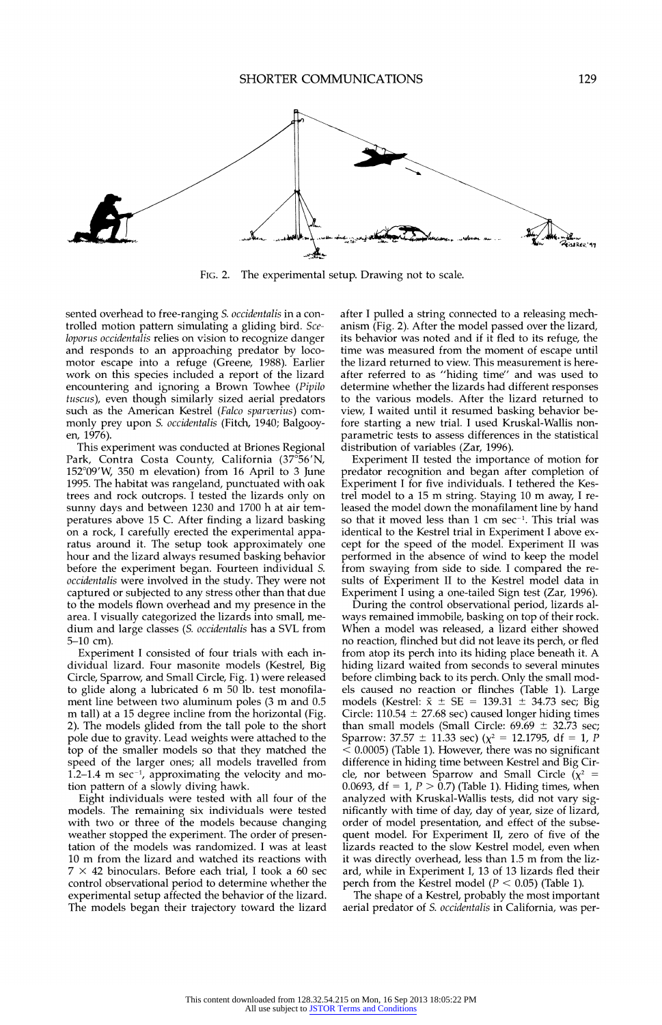

**FIG. 2. The experimental setup. Drawing not to scale.** 

**sented overhead to free-ranging S. occidentalis in a controlled motion pattern simulating a gliding bird. Sceloporus occidentalis relies on vision to recognize danger and responds to an approaching predator by locomotor escape into a refuge (Greene, 1988). Earlier work on this species included a report of the lizard encountering and ignoring a Brown Towhee (Pipilo tuscus), even though similarly sized aerial predators such as the American Kestrel (Falco sparverius) commonly prey upon S. occidentalis (Fitch, 1940; Balgooyen, 1976).** 

**This experiment was conducted at Briones Regional Park, Contra Costa County, California (37?56'N, 152?09'W, 350 m elevation) from 16 April to 3 June 1995. The habitat was rangeland, punctuated with oak trees and rock outcrops. I tested the lizards only on sunny days and between 1230 and 1700 h at air temperatures above 15 C. After finding a lizard basking on a rock, I carefully erected the experimental apparatus around it. The setup took approximately one hour and the lizard always resumed basking behavior before the experiment began. Fourteen individual S. occidentalis were involved in the study. They were not captured or subjected to any stress other than that due to the models flown overhead and my presence in the area. I visually categorized the lizards into small, medium and large classes (S. occidentalis has a SVL from 5-10 cm).** 

**Experiment I consisted of four trials with each individual lizard. Four masonite models (Kestrel, Big Circle, Sparrow, and Small Circle, Fig. 1) were released to glide along a lubricated 6 m 50 lb. test monofilament line between two aluminum poles (3 m and 0.5 m tall) at a 15 degree incline from the horizontal (Fig. 2). The models glided from the tall pole to the short pole due to gravity. Lead weights were attached to the top of the smaller models so that they matched the speed of the larger ones; all models travelled from 1.2-1.4 m sec-1, approximating the velocity and motion pattern of a slowly diving hawk.** 

**Eight individuals were tested with all four of the models. The remaining six individuals were tested with two or three of the models because changing weather stopped the experiment. The order of presentation of the models was randomized. I was at least 10 m from the lizard and watched its reactions with 7 x 42 binoculars. Before each trial, I took a 60 sec control observational period to determine whether the experimental setup affected the behavior of the lizard. The models began their trajectory toward the lizard** 

**after I pulled a string connected to a releasing mechanism (Fig. 2). After the model passed over the lizard, its behavior was noted and if it fled to its refuge, the time was measured from the moment of escape until the lizard returned to view. This measurement is hereafter referred to as "hiding time" and was used to determine whether the lizards had different responses to the various models. After the lizard returned to view, I waited until it resumed basking behavior before starting a new trial. I used Kruskal-Wallis nonparametric tests to assess differences in the statistical distribution of variables (Zar, 1996).** 

**Experiment II tested the importance of motion for predator recognition and began after completion of Experiment I for five individuals. I tethered the Kestrel model to a 15 m string. Staying 10 m away, I released the model down the monafilament line by hand so that it moved less than 1 cm sec-l. This trial was identical to the Kestrel trial in Experiment I above except for the speed of the model. Experiment II was performed in the absence of wind to keep the model from swaying from side to side. I compared the results of Experiment II to the Kestrel model data in Experiment I using a one-tailed Sign test (Zar, 1996).** 

**During the control observational period, lizards always remained immobile, basking on top of their rock. When a model was released, a lizard either showed no reaction, flinched but did not leave its perch, or fled from atop its perch into its hiding place beneath it. A hiding lizard waited from seconds to several minutes before climbing back to its perch. Only the small models caused no reaction or flinches (Table 1). Large**  models (Kestrel:  $\bar{x} \pm SE = 139.31 \pm 34.73$  sec; Big Circle:  $110.54 \pm 27.68$  sec) caused longer hiding times than small models (Small Circle: 69.69  $\pm$  32.73 sec; Sparrow:  $37.57 \pm 11.33$  sec) ( $\chi^2 = 12.1795$ , df = 1, P **< 0.0005) (Table 1). However, there was no significant difference in hiding time between Kestrel and Big Cir**cle, nor between Sparrow and Small Circle  $(\chi^2 =$ **0.0693, df = 1, P > 0.7) (Table 1). Hiding times, when analyzed with Kruskal-Wallis tests, did not vary significantly with time of day, day of year, size of lizard, order of model presentation, and effect of the subsequent model. For Experiment II, zero of five of the lizards reacted to the slow Kestrel model, even when it was directly overhead, less than 1.5 m from the lizard, while in Experiment I, 13 of 13 lizards fled their**  perch from the Kestrel model ( $P < 0.05$ ) (Table 1).

**The shape of a Kestrel, probably the most important aerial predator of S. occidentalis in California, was per-**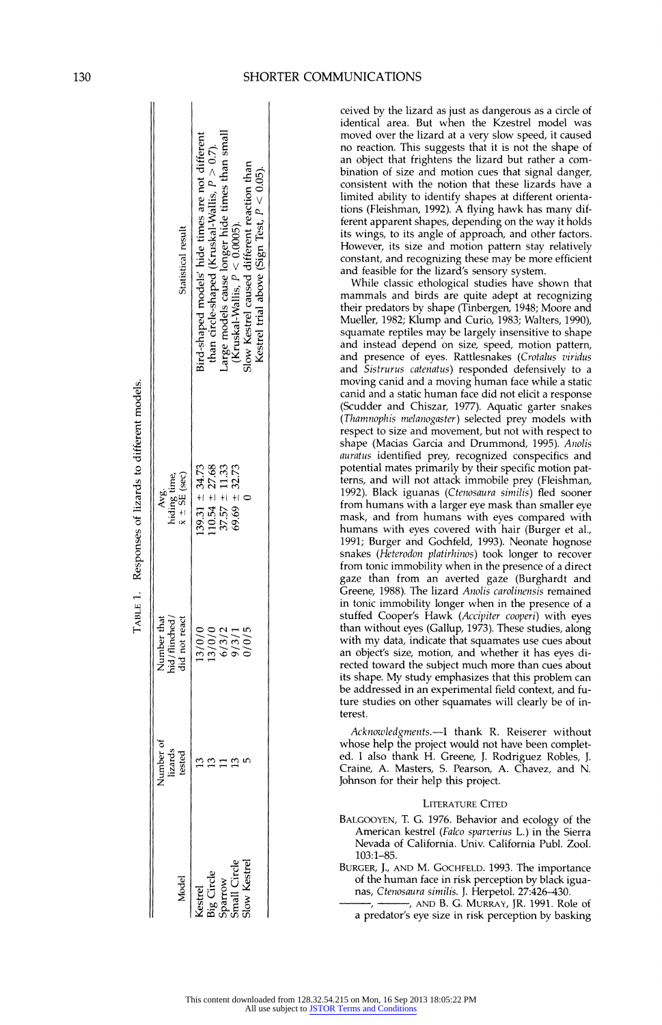|                                                                  |                                |                                                                         | TABLE 1. Responses of lizards to different models.   |                                                                                                                                                                       |
|------------------------------------------------------------------|--------------------------------|-------------------------------------------------------------------------|------------------------------------------------------|-----------------------------------------------------------------------------------------------------------------------------------------------------------------------|
| Viodel                                                           | Number of<br>lizards<br>tested | Number that<br>hid/flinched/<br>did not react                           | $\bar{x} \pm S\bar{E}$ (sec)<br>Avg.<br>hiding time, | Statistical result                                                                                                                                                    |
| Kestrel<br>Big Circle<br>Sparrow<br>Small Circle<br>Small Circle |                                | 13/0/0                                                                  | $139.31 \pm 34.73$                                   | Sird-shaped models' hide times are not different                                                                                                                      |
|                                                                  |                                |                                                                         | $10.54 \pm 27.68$                                    | than circle-shaped (Kruskal-Wallis, $P > 0.7$ ).                                                                                                                      |
|                                                                  |                                |                                                                         | $37.57 \pm 11.33$                                    |                                                                                                                                                                       |
|                                                                  |                                | $\begin{array}{c}\n 13/0/0 \\  6/3/2 \\  9/3/1 \\  0/0/5\n \end{array}$ | $69.69 \pm 32.73$                                    |                                                                                                                                                                       |
|                                                                  |                                |                                                                         |                                                      | Large models cause longer hide times than small (Kruskal-Wallis, $P < 0.0005$ ).<br>(Kruskal-Wallis, $P < 0.0005$ ).<br>Kestrel trial above (Sign Test, $P < 0.05$ ). |

**ceived by the lizard as just as dangerous as a circle of identical area. But when the Kzestrel model was**  moved over the lizard at a very slow speed, it caused no reaction. This suggests that it is not the shape of **.a6 c6 c an object that frightens the lizard but rather a com- ~ A , bination of size and motion cues that signal danger,**  consistent with the notion that these lizards have a limited ability to identify shapes at different orientations (Fleishman, 1992). A flying hawk has many different apparent shapes, depending on the way it holds its wings, to its angle of approach, and other factors. **~ 8 ^However, its size and motion pattern stay relatively .3! c V?~ Z= S 2 constant, and recognizing these may be more efficient - and feasible for the lizard's sensory system.** 

**While classic ethological studies have shown that mammals and birds are quite adept at recognizing - ' their predators by shape (Tinbergen, 1948; Moore and <sup>X</sup>4, ' '., Mueller, 1982; Klump and Curio, 1983; Walters, 1990), E(aE - squamate reptiles may be largely insensitive to shape**  and instead depend on size, speed, motion pattern, **2 -a 04 5 a and presence of eyes. Rattlesnakes (Crotalus viridus**  and Sistrurus catenatus) responded defensively to a moving canid and a moving human face while a static **TI'ii;Jr~~~~ ~canid and a static human face did not elicit a response original term** and and a static human face did not elicit a response<br> **of Chinamophis melanogaster**) selected prey models with<br>
respect to size and movement, but not with respect to<br>  $\frac{1}{2}$  and  $\frac{1}{2}$  and  $\frac{1}{2}$  **S,^~~~~~ ~~(Thamnophis melanogaster) selected prey models with**  respect to size and movement, but not with respect to **a9!^~~~ ~~~shape (Macias Garcia and Drummond, 1995). Anolis ; auratus identified prey, recognized conspecifics and**  potential mates primarily by their specific motion patterns, and will not attack immobile prey (Fleishman, **MW +1+ +1 +i + 1992). Black iguanas (Ctenosaura similis) fled sooner from humans with a larger eye mask than smaller eye 3 ,1 ^ . Sn Do mask, and from humans with eyes compared with**  humans with eyes covered with hair (Burger et al., **1991; Burger and Gochfeld, 1993). Neonate hognose o**<br>since the contract to the munitary with eyes covered with nair (burger et al.,<br>1991; Burger and Gochfeld, 1993). Neonate hognose<br>snakes (*Heterodon platirhinos*) took longer to recover<br>from tonic immobility when in the **from tonic immobility when in the presence of a direct gaze than from an averted gaze (Burghardt and Greene, 1988). The lizard Anolis carolinensis remained**  in tonic immobility longer when in the presence of a  $x + y + z = 0$  **Cooper's Hawk** (Accipiter cooperi) with eyes **oo c L( n than without eyes (Gallup, 1973). These studies, along**  *X* with my data, indicate that squamates use cues about an object's size, motion, and whether it has eyes di**z ' rected toward the subject much more than cues about its shape. My study emphasizes that this problem can be addressed in an experimental field context, and future studies on other squamates will clearly be of interest.** 

> **Acknowledgments.-I thank R. Reiserer without 'o whose help the project would not have been complet- ' c c, v mn ed. I also thank H. Greene, J. Rodriguez Robles, J. E .3 Craine, A. Masters, S. Pearson, A. Chavez, and N. Johnson for their help this project.**

#### **LITERATURE CITED**

- **BALGOOYEN, T. G. 1976. Behavior and ecology of the American kestrel (Falco sparverius L.) in the Sierra Nevada of California. Univ. California Publ. Zool. 103:1-85.**
- **BURGER, J., AND M. GOCHFELD. 1993. The importance U , of the human face in risk perception by black igua- -oXU Q ? 2 nas, Ctenosaura similis. J. Herpetol. 27:426-430.** 
	- **.w Q- E , ,AND B. G. MURRAY, JR. 1991. Role of U) n ucn- a predator's eye size in risk perception by basking**